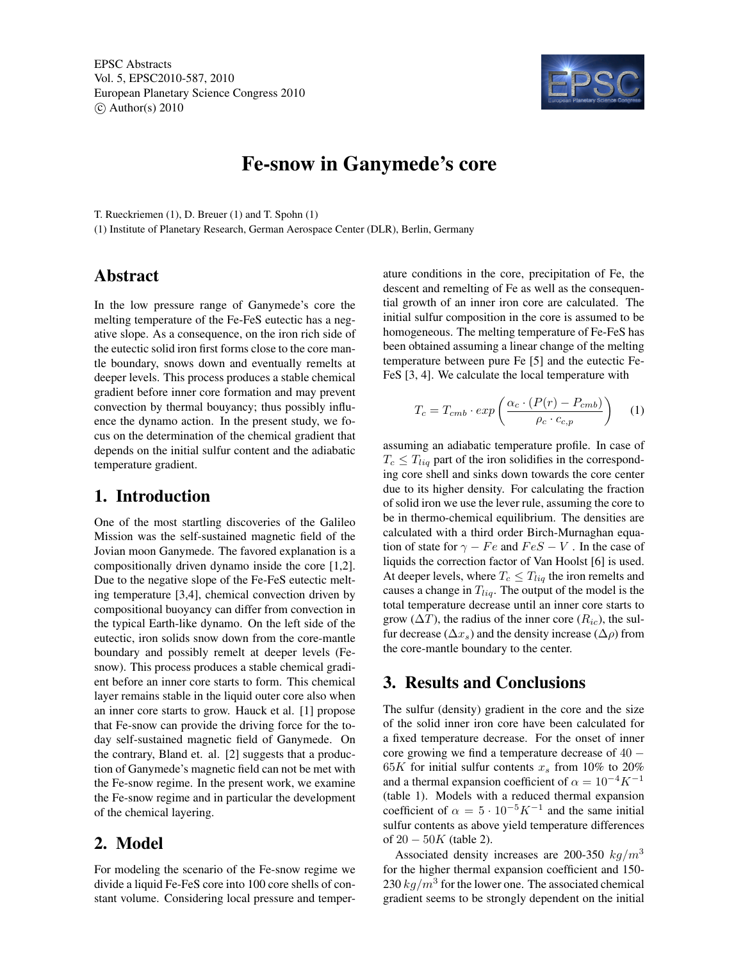EPSC Abstracts Vol. 5, EPSC2010-587, 2010 European Planetary Science Congress 2010  $\circ$  Author(s) 2010



# Fe-snow in Ganymede's core

T. Rueckriemen (1), D. Breuer (1) and T. Spohn (1)

(1) Institute of Planetary Research, German Aerospace Center (DLR), Berlin, Germany

## Abstract

In the low pressure range of Ganymede's core the melting temperature of the Fe-FeS eutectic has a negative slope. As a consequence, on the iron rich side of the eutectic solid iron first forms close to the core mantle boundary, snows down and eventually remelts at deeper levels. This process produces a stable chemical gradient before inner core formation and may prevent convection by thermal bouyancy; thus possibly influence the dynamo action. In the present study, we focus on the determination of the chemical gradient that depends on the initial sulfur content and the adiabatic temperature gradient.

#### 1. Introduction

One of the most startling discoveries of the Galileo Mission was the self-sustained magnetic field of the Jovian moon Ganymede. The favored explanation is a compositionally driven dynamo inside the core [1,2]. Due to the negative slope of the Fe-FeS eutectic melting temperature [3,4], chemical convection driven by compositional buoyancy can differ from convection in the typical Earth-like dynamo. On the left side of the eutectic, iron solids snow down from the core-mantle boundary and possibly remelt at deeper levels (Fesnow). This process produces a stable chemical gradient before an inner core starts to form. This chemical layer remains stable in the liquid outer core also when an inner core starts to grow. Hauck et al. [1] propose that Fe-snow can provide the driving force for the today self-sustained magnetic field of Ganymede. On the contrary, Bland et. al. [2] suggests that a production of Ganymede's magnetic field can not be met with the Fe-snow regime. In the present work, we examine the Fe-snow regime and in particular the development of the chemical layering.

## 2. Model

For modeling the scenario of the Fe-snow regime we divide a liquid Fe-FeS core into 100 core shells of constant volume. Considering local pressure and temperature conditions in the core, precipitation of Fe, the descent and remelting of Fe as well as the consequential growth of an inner iron core are calculated. The initial sulfur composition in the core is assumed to be homogeneous. The melting temperature of Fe-FeS has been obtained assuming a linear change of the melting temperature between pure Fe [5] and the eutectic Fe-FeS [3, 4]. We calculate the local temperature with

$$
T_c = T_{cmb} \cdot exp\left(\frac{\alpha_c \cdot (P(r) - P_{cmb})}{\rho_c \cdot c_{c,p}}\right) \tag{1}
$$

assuming an adiabatic temperature profile. In case of  $T_c \leq T_{liq}$  part of the iron solidifies in the corresponding core shell and sinks down towards the core center due to its higher density. For calculating the fraction of solid iron we use the lever rule, assuming the core to be in thermo-chemical equilibrium. The densities are calculated with a third order Birch-Murnaghan equation of state for  $\gamma - Fe$  and  $FeS - V$ . In the case of liquids the correction factor of Van Hoolst [6] is used. At deeper levels, where  $T_c \leq T_{liq}$  the iron remelts and causes a change in  $T_{liq}$ . The output of the model is the total temperature decrease until an inner core starts to grow ( $\Delta T$ ), the radius of the inner core ( $R_{ic}$ ), the sulfur decrease ( $\Delta x_s$ ) and the density increase ( $\Delta \rho$ ) from the core-mantle boundary to the center.

### 3. Results and Conclusions

The sulfur (density) gradient in the core and the size of the solid inner iron core have been calculated for a fixed temperature decrease. For the onset of inner core growing we find a temperature decrease of 40 − 65K for initial sulfur contents  $x_s$  from 10% to 20% and a thermal expansion coefficient of  $\alpha = 10^{-4} K^{-1}$ (table 1). Models with a reduced thermal expansion coefficient of  $\alpha = 5 \cdot 10^{-5} K^{-1}$  and the same initial sulfur contents as above yield temperature differences of  $20 - 50K$  (table 2).

Associated density increases are 200-350  $kg/m<sup>3</sup>$ for the higher thermal expansion coefficient and 150- 230  $kg/m^3$  for the lower one. The associated chemical gradient seems to be strongly dependent on the initial